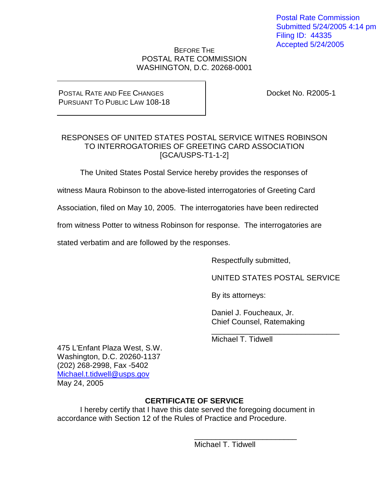Postal Rate Commission Submitted 5/24/2005 4:14 pm Filing ID: 44335 Accepted 5/24/2005

#### BEFORE THE POSTAL RATE COMMISSION WASHINGTON, D.C. 20268-0001

#### POSTAL RATE AND FEE CHANGES PURSUANT TO PUBLIC LAW 108-18

Docket No. R2005-1

#### RESPONSES OF UNITED STATES POSTAL SERVICE WITNES ROBINSON TO INTERROGATORIES OF GREETING CARD ASSOCIATION [GCA/USPS-T1-1-2]

The United States Postal Service hereby provides the responses of

witness Maura Robinson to the above-listed interrogatories of Greeting Card

Association, filed on May 10, 2005. The interrogatories have been redirected

from witness Potter to witness Robinson for response. The interrogatories are

stated verbatim and are followed by the responses.

Respectfully submitted,

UNITED STATES POSTAL SERVICE

By its attorneys:

Daniel J. Foucheaux, Jr. Chief Counsel, Ratemaking

\_\_\_\_\_\_\_\_\_\_\_\_\_\_\_\_\_\_\_\_\_\_\_\_\_\_\_\_\_\_ Michael T. Tidwell

475 L'Enfant Plaza West, S.W. Washington, D.C. 20260-1137 (202) 268-2998, Fax -5402 Michael.t.tidwell@usps.gov May 24, 2005

# **CERTIFICATE OF SERVICE**

I hereby certify that I have this date served the foregoing document in accordance with Section 12 of the Rules of Practice and Procedure.

> \_\_\_\_\_\_\_\_\_\_\_\_\_\_\_\_\_\_\_\_\_\_\_\_ Michael T. Tidwell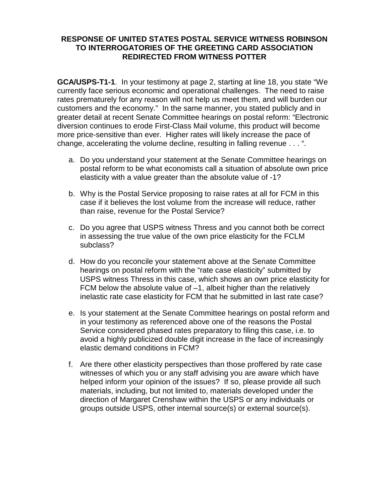**GCA/USPS-T1-1**. In your testimony at page 2, starting at line 18, you state "We currently face serious economic and operational challenges. The need to raise rates prematurely for any reason will not help us meet them, and will burden our customers and the economy." In the same manner, you stated publicly and in greater detail at recent Senate Committee hearings on postal reform: "Electronic diversion continues to erode First-Class Mail volume, this product will become more price-sensitive than ever. Higher rates will likely increase the pace of change, accelerating the volume decline, resulting in falling revenue . . . ".

- a. Do you understand your statement at the Senate Committee hearings on postal reform to be what economists call a situation of absolute own price elasticity with a value greater than the absolute value of -1?
- b. Why is the Postal Service proposing to raise rates at all for FCM in this case if it believes the lost volume from the increase will reduce, rather than raise, revenue for the Postal Service?
- c. Do you agree that USPS witness Thress and you cannot both be correct in assessing the true value of the own price elasticity for the FCLM subclass?
- d. How do you reconcile your statement above at the Senate Committee hearings on postal reform with the "rate case elasticity" submitted by USPS witness Thress in this case, which shows an own price elasticity for FCM below the absolute value of –1, albeit higher than the relatively inelastic rate case elasticity for FCM that he submitted in last rate case?
- e. Is your statement at the Senate Committee hearings on postal reform and in your testimony as referenced above one of the reasons the Postal Service considered phased rates preparatory to filing this case, i.e. to avoid a highly publicized double digit increase in the face of increasingly elastic demand conditions in FCM?
- f. Are there other elasticity perspectives than those proffered by rate case witnesses of which you or any staff advising you are aware which have helped inform your opinion of the issues? If so, please provide all such materials, including, but not limited to, materials developed under the direction of Margaret Crenshaw within the USPS or any individuals or groups outside USPS, other internal source(s) or external source(s).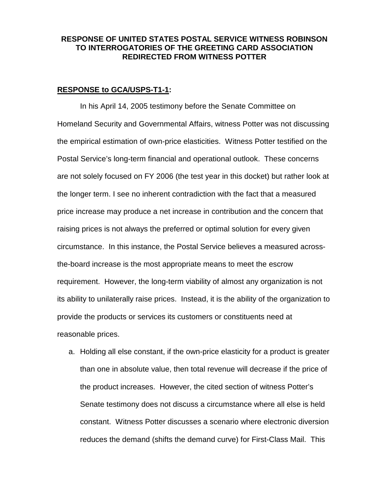#### **RESPONSE to GCA/USPS-T1-1:**

In his April 14, 2005 testimony before the Senate Committee on Homeland Security and Governmental Affairs, witness Potter was not discussing the empirical estimation of own-price elasticities. Witness Potter testified on the Postal Service's long-term financial and operational outlook. These concerns are not solely focused on FY 2006 (the test year in this docket) but rather look at the longer term. I see no inherent contradiction with the fact that a measured price increase may produce a net increase in contribution and the concern that raising prices is not always the preferred or optimal solution for every given circumstance. In this instance, the Postal Service believes a measured acrossthe-board increase is the most appropriate means to meet the escrow requirement. However, the long-term viability of almost any organization is not its ability to unilaterally raise prices. Instead, it is the ability of the organization to provide the products or services its customers or constituents need at reasonable prices.

a. Holding all else constant, if the own-price elasticity for a product is greater than one in absolute value, then total revenue will decrease if the price of the product increases. However, the cited section of witness Potter's Senate testimony does not discuss a circumstance where all else is held constant. Witness Potter discusses a scenario where electronic diversion reduces the demand (shifts the demand curve) for First-Class Mail. This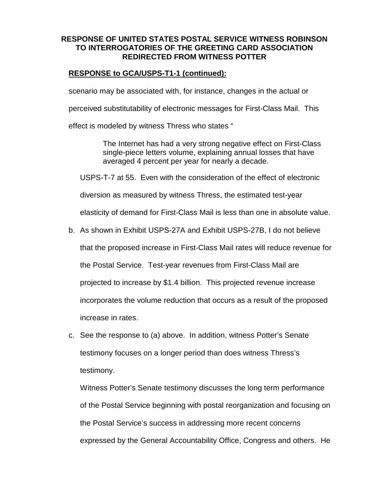# **RESPONSE to GCA/USPS-T1-1 (continued):**

scenario may be associated with, for instance, changes in the actual or

perceived substitutability of electronic messages for First-Class Mail. This

effect is modeled by witness Thress who states "

The Internet has had a very strong negative effect on First-Class single-piece letters volume, explaining annual losses that have averaged 4 percent per year for nearly a decade.

USPS-T-7 at 55. Even with the consideration of the effect of electronic

diversion as measured by witness Thress, the estimated test-year

elasticity of demand for First-Class Mail is less than one in absolute value.

b. As shown in Exhibit USPS-27A and Exhibit USPS-27B, I do not believe

that the proposed increase in First-Class Mail rates will reduce revenue for

the Postal Service. Test-year revenues from First-Class Mail are

projected to increase by \$1.4 billion. This projected revenue increase

incorporates the volume reduction that occurs as a result of the proposed

increase in rates.

c. See the response to (a) above. In addition, witness Potter's Senate testimony focuses on a longer period than does witness Thress's testimony.

Witness Potter's Senate testimony discusses the long term performance of the Postal Service beginning with postal reorganization and focusing on the Postal Service's success in addressing more recent concerns expressed by the General Accountability Office, Congress and others. He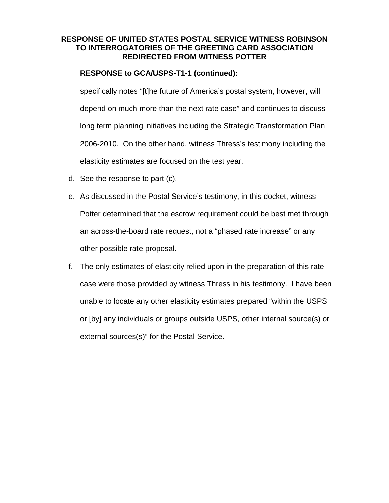# **RESPONSE to GCA/USPS-T1-1 (continued):**

specifically notes "[t]he future of America's postal system, however, will depend on much more than the next rate case" and continues to discuss long term planning initiatives including the Strategic Transformation Plan 2006-2010. On the other hand, witness Thress's testimony including the elasticity estimates are focused on the test year.

- d. See the response to part (c).
- e. As discussed in the Postal Service's testimony, in this docket, witness Potter determined that the escrow requirement could be best met through an across-the-board rate request, not a "phased rate increase" or any other possible rate proposal.
- f. The only estimates of elasticity relied upon in the preparation of this rate case were those provided by witness Thress in his testimony. I have been unable to locate any other elasticity estimates prepared "within the USPS or [by] any individuals or groups outside USPS, other internal source(s) or external sources(s)" for the Postal Service.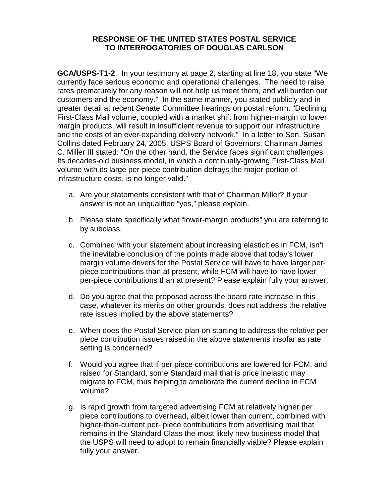**GCA/USPS-T1-2**. In your testimony at page 2, starting at line 18, you state "We currently face serious economic and operational challenges. The need to raise rates prematurely for any reason will not help us meet them, and will burden our customers and the economy." In the same manner, you stated publicly and in greater detail at recent Senate Committee hearings on postal reform: "Declining First-Class Mail volume, coupled with a market shift from higher-margin to lower margin products, will result in insufficient revenue to support our infrastructure and the costs of an ever-expanding delivery network." In a letter to Sen. Susan Collins dated February 24, 2005, USPS Board of Governors, Chairman James C. Miller III stated: "On the other hand, the Service faces significant challenges. Its decades-old business model, in which a continually-growing First-Class Mail volume with its large per-piece contribution defrays the major portion of infrastructure costs, is no longer valid."

- a. Are your statements consistent with that of Chairman Miller? If your answer is not an unqualified "yes," please explain.
- b. Please state specifically what "lower-margin products" you are referring to by subclass.
- c. Combined with your statement about increasing elasticities in FCM, isn't the inevitable conclusion of the points made above that today's lower margin volume drivers for the Postal Service will have to have larger perpiece contributions than at present, while FCM will have to have lower per-piece contributions than at present? Please explain fully your answer.
- d. Do you agree that the proposed across the board rate increase in this case, whatever its merits on other grounds, does not address the relative rate issues implied by the above statements?
- e. When does the Postal Service plan on starting to address the relative perpiece contribution issues raised in the above statements insofar as rate setting is concerned?
- f. Would you agree that if per piece contributions are lowered for FCM, and raised for Standard, some Standard mail that is price inelastic may migrate to FCM, thus helping to ameliorate the current decline in FCM volume?
- g. Is rapid growth from targeted advertising FCM at relatively higher per piece contributions to overhead, albeit lower than current, combined with higher-than-current per- piece contributions from advertising mail that remains in the Standard Class the most likely new business model that the USPS will need to adopt to remain financially viable? Please explain fully your answer.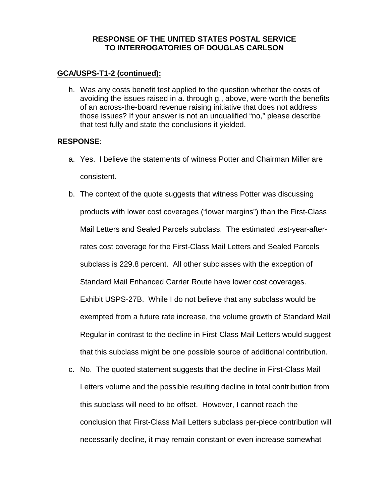#### **GCA/USPS-T1-2 (continued):**

h. Was any costs benefit test applied to the question whether the costs of avoiding the issues raised in a. through g., above, were worth the benefits of an across-the-board revenue raising initiative that does not address those issues? If your answer is not an unqualified "no," please describe that test fully and state the conclusions it yielded.

#### **RESPONSE**:

- a. Yes. I believe the statements of witness Potter and Chairman Miller are consistent.
- b. The context of the quote suggests that witness Potter was discussing products with lower cost coverages ("lower margins") than the First-Class Mail Letters and Sealed Parcels subclass. The estimated test-year-afterrates cost coverage for the First-Class Mail Letters and Sealed Parcels subclass is 229.8 percent. All other subclasses with the exception of Standard Mail Enhanced Carrier Route have lower cost coverages. Exhibit USPS-27B. While I do not believe that any subclass would be exempted from a future rate increase, the volume growth of Standard Mail Regular in contrast to the decline in First-Class Mail Letters would suggest that this subclass might be one possible source of additional contribution.
- c. No. The quoted statement suggests that the decline in First-Class Mail Letters volume and the possible resulting decline in total contribution from this subclass will need to be offset. However, I cannot reach the conclusion that First-Class Mail Letters subclass per-piece contribution will necessarily decline, it may remain constant or even increase somewhat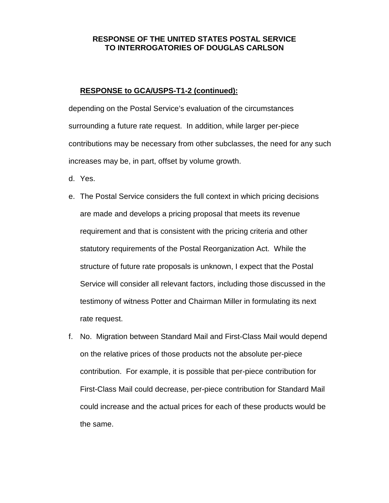#### **RESPONSE to GCA/USPS-T1-2 (continued):**

depending on the Postal Service's evaluation of the circumstances surrounding a future rate request. In addition, while larger per-piece contributions may be necessary from other subclasses, the need for any such increases may be, in part, offset by volume growth.

- d. Yes.
- e. The Postal Service considers the full context in which pricing decisions are made and develops a pricing proposal that meets its revenue requirement and that is consistent with the pricing criteria and other statutory requirements of the Postal Reorganization Act. While the structure of future rate proposals is unknown, I expect that the Postal Service will consider all relevant factors, including those discussed in the testimony of witness Potter and Chairman Miller in formulating its next rate request.
- f. No. Migration between Standard Mail and First-Class Mail would depend on the relative prices of those products not the absolute per-piece contribution. For example, it is possible that per-piece contribution for First-Class Mail could decrease, per-piece contribution for Standard Mail could increase and the actual prices for each of these products would be the same.